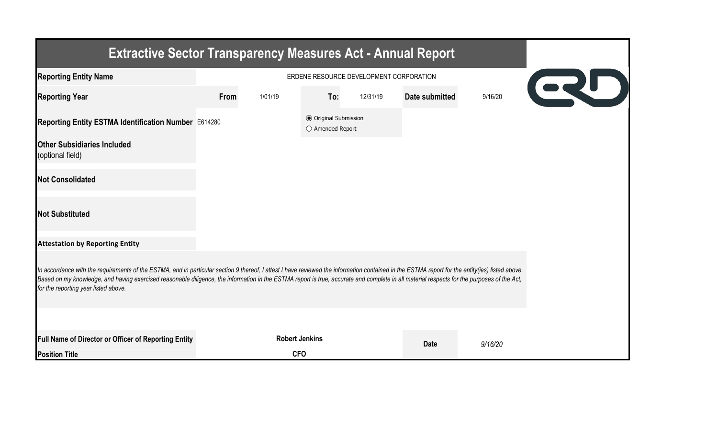| <b>Extractive Sector Transparency Measures Act - Annual Report</b>                                                                                                                                                                                                                                                                                                                                                                    |                                               |                       |                                           |          |                |         |  |  |
|---------------------------------------------------------------------------------------------------------------------------------------------------------------------------------------------------------------------------------------------------------------------------------------------------------------------------------------------------------------------------------------------------------------------------------------|-----------------------------------------------|-----------------------|-------------------------------------------|----------|----------------|---------|--|--|
| <b>Reporting Entity Name</b>                                                                                                                                                                                                                                                                                                                                                                                                          | ERDENE RESOURCE DEVELOPMENT CORPORATION<br>QU |                       |                                           |          |                |         |  |  |
| <b>Reporting Year</b>                                                                                                                                                                                                                                                                                                                                                                                                                 | From                                          | 1/01/19               | To:                                       | 12/31/19 | Date submitted | 9/16/20 |  |  |
| Reporting Entity ESTMA Identification Number E614280                                                                                                                                                                                                                                                                                                                                                                                  |                                               |                       | ● Original Submission<br>○ Amended Report |          |                |         |  |  |
| <b>Other Subsidiaries Included</b><br>(optional field)                                                                                                                                                                                                                                                                                                                                                                                |                                               |                       |                                           |          |                |         |  |  |
| <b>Not Consolidated</b>                                                                                                                                                                                                                                                                                                                                                                                                               |                                               |                       |                                           |          |                |         |  |  |
| <b>Not Substituted</b>                                                                                                                                                                                                                                                                                                                                                                                                                |                                               |                       |                                           |          |                |         |  |  |
| <b>Attestation by Reporting Entity</b>                                                                                                                                                                                                                                                                                                                                                                                                |                                               |                       |                                           |          |                |         |  |  |
| In accordance with the requirements of the ESTMA, and in particular section 9 thereof, I attest I have reviewed the information contained in the ESTMA report for the entity(ies) listed above.<br>Based on my knowledge, and having exercised reasonable diligence, the information in the ESTMA report is true, accurate and complete in all material respects for the purposes of the Act,<br>for the reporting year listed above. |                                               |                       |                                           |          |                |         |  |  |
|                                                                                                                                                                                                                                                                                                                                                                                                                                       |                                               |                       |                                           |          |                |         |  |  |
| Full Name of Director or Officer of Reporting Entity                                                                                                                                                                                                                                                                                                                                                                                  |                                               | <b>Robert Jenkins</b> |                                           |          | <b>Date</b>    | 9/16/20 |  |  |
| <b>Position Title</b>                                                                                                                                                                                                                                                                                                                                                                                                                 |                                               | <b>CFO</b>            |                                           |          |                |         |  |  |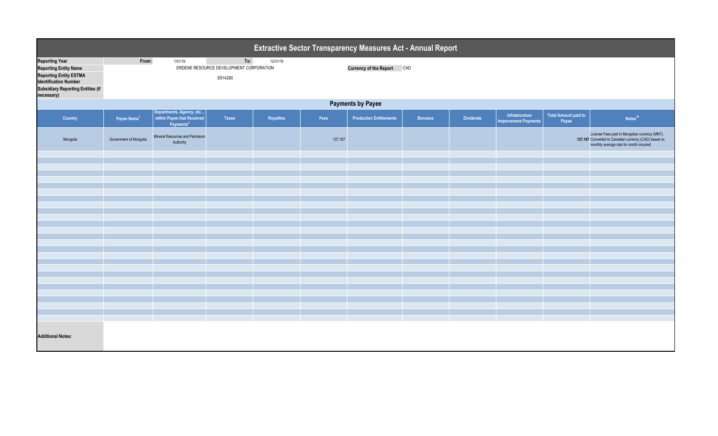| Extractive Sector Transparency Measures Act - Annual Report                                                                                                                      |                                                                                           |                                                                                 |              |                                      |         |                                |         |                  |                                               |                                      |                                                                                                                                                     |  |
|----------------------------------------------------------------------------------------------------------------------------------------------------------------------------------|-------------------------------------------------------------------------------------------|---------------------------------------------------------------------------------|--------------|--------------------------------------|---------|--------------------------------|---------|------------------|-----------------------------------------------|--------------------------------------|-----------------------------------------------------------------------------------------------------------------------------------------------------|--|
| <b>Reporting Year</b><br><b>Reporting Entity Name</b><br><b>Reporting Entity ESTMA</b><br><b>Identification Number</b><br><b>Subsidiary Reporting Entities (if</b><br>necessary) | To:<br>1/01/19<br>From:<br>12/31/19<br>ERDENE RESOURCE DEVELOPMENT CORPORATION<br>E614280 |                                                                                 |              | CAD<br><b>Currency of the Report</b> |         |                                |         |                  |                                               |                                      |                                                                                                                                                     |  |
|                                                                                                                                                                                  | <b>Payments by Payee</b>                                                                  |                                                                                 |              |                                      |         |                                |         |                  |                                               |                                      |                                                                                                                                                     |  |
| Country                                                                                                                                                                          | Payee Name <sup>1</sup>                                                                   | Departments, Agency, etc<br>within Payee that Received<br>Payments <sup>2</sup> | <b>Taxes</b> | Royalties                            | Fees    | <b>Production Entitlements</b> | Bonuses | <b>Dividends</b> | Infrastructure<br><b>Improvement Payments</b> | <b>Total Amount paid to</b><br>Payee | Notes <sup>34</sup>                                                                                                                                 |  |
| Mongolia                                                                                                                                                                         | Government of Mongolia                                                                    | Mineral Resources and Petroleum<br>Authority                                    |              |                                      | 127,187 |                                |         |                  |                                               |                                      | License Fees paid in Mongolian currency (MNT).<br>127,187 Converted to Canadian currency (CAD) based on<br>monthly average rate for month incurred. |  |
|                                                                                                                                                                                  |                                                                                           |                                                                                 |              |                                      |         |                                |         |                  |                                               |                                      |                                                                                                                                                     |  |
|                                                                                                                                                                                  |                                                                                           |                                                                                 |              |                                      |         |                                |         |                  |                                               |                                      |                                                                                                                                                     |  |
|                                                                                                                                                                                  |                                                                                           |                                                                                 |              |                                      |         |                                |         |                  |                                               |                                      |                                                                                                                                                     |  |
|                                                                                                                                                                                  |                                                                                           |                                                                                 |              |                                      |         |                                |         |                  |                                               |                                      |                                                                                                                                                     |  |
|                                                                                                                                                                                  |                                                                                           |                                                                                 |              |                                      |         |                                |         |                  |                                               |                                      |                                                                                                                                                     |  |
|                                                                                                                                                                                  |                                                                                           |                                                                                 |              |                                      |         |                                |         |                  |                                               |                                      |                                                                                                                                                     |  |
|                                                                                                                                                                                  |                                                                                           |                                                                                 |              |                                      |         |                                |         |                  |                                               |                                      |                                                                                                                                                     |  |
|                                                                                                                                                                                  |                                                                                           |                                                                                 |              |                                      |         |                                |         |                  |                                               |                                      |                                                                                                                                                     |  |
|                                                                                                                                                                                  |                                                                                           |                                                                                 |              |                                      |         |                                |         |                  |                                               |                                      |                                                                                                                                                     |  |
|                                                                                                                                                                                  |                                                                                           |                                                                                 |              |                                      |         |                                |         |                  |                                               |                                      |                                                                                                                                                     |  |
|                                                                                                                                                                                  |                                                                                           |                                                                                 |              |                                      |         |                                |         |                  |                                               |                                      |                                                                                                                                                     |  |
|                                                                                                                                                                                  |                                                                                           |                                                                                 |              |                                      |         |                                |         |                  |                                               |                                      |                                                                                                                                                     |  |
|                                                                                                                                                                                  |                                                                                           |                                                                                 |              |                                      |         |                                |         |                  |                                               |                                      |                                                                                                                                                     |  |
|                                                                                                                                                                                  |                                                                                           |                                                                                 |              |                                      |         |                                |         |                  |                                               |                                      |                                                                                                                                                     |  |
|                                                                                                                                                                                  |                                                                                           |                                                                                 |              |                                      |         |                                |         |                  |                                               |                                      |                                                                                                                                                     |  |
|                                                                                                                                                                                  |                                                                                           |                                                                                 |              |                                      |         |                                |         |                  |                                               |                                      |                                                                                                                                                     |  |
|                                                                                                                                                                                  |                                                                                           |                                                                                 |              |                                      |         |                                |         |                  |                                               |                                      |                                                                                                                                                     |  |
| <b>Additional Notes:</b>                                                                                                                                                         |                                                                                           |                                                                                 |              |                                      |         |                                |         |                  |                                               |                                      |                                                                                                                                                     |  |